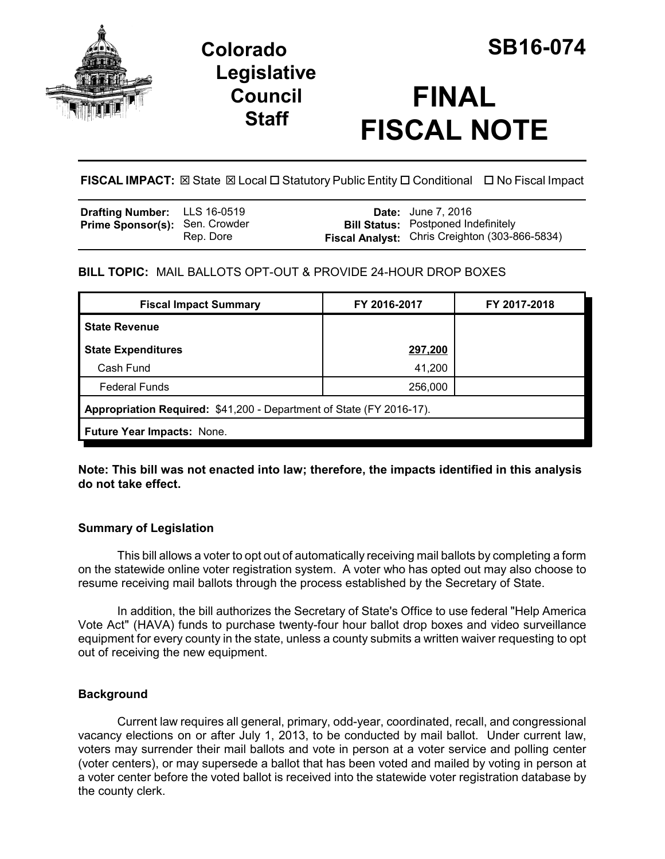

# **Colorado SB16-074 Legislative Council Staff**

# **FINAL FISCAL NOTE**

**FISCAL IMPACT:** ⊠ State ⊠ Local □ Statutory Public Entity □ Conditional □ No Fiscal Impact

| <b>Drafting Number:</b> LLS 16-0519   |           | <b>Date:</b> June 7, 2016                      |
|---------------------------------------|-----------|------------------------------------------------|
| <b>Prime Sponsor(s): Sen. Crowder</b> |           | <b>Bill Status:</b> Postponed Indefinitely     |
|                                       | Rep. Dore | Fiscal Analyst: Chris Creighton (303-866-5834) |

## **BILL TOPIC:** MAIL BALLOTS OPT-OUT & PROVIDE 24-HOUR DROP BOXES

| <b>Fiscal Impact Summary</b>                                         | FY 2016-2017 | FY 2017-2018 |  |  |  |
|----------------------------------------------------------------------|--------------|--------------|--|--|--|
| <b>State Revenue</b>                                                 |              |              |  |  |  |
| <b>State Expenditures</b>                                            | 297,200      |              |  |  |  |
| Cash Fund                                                            | 41,200       |              |  |  |  |
| <b>Federal Funds</b>                                                 | 256,000      |              |  |  |  |
| Appropriation Required: \$41,200 - Department of State (FY 2016-17). |              |              |  |  |  |
| <b>Future Year Impacts: None.</b>                                    |              |              |  |  |  |

**Note: This bill was not enacted into law; therefore, the impacts identified in this analysis do not take effect.** 

### **Summary of Legislation**

This bill allows a voter to opt out of automatically receiving mail ballots by completing a form on the statewide online voter registration system. A voter who has opted out may also choose to resume receiving mail ballots through the process established by the Secretary of State.

In addition, the bill authorizes the Secretary of State's Office to use federal "Help America Vote Act" (HAVA) funds to purchase twenty-four hour ballot drop boxes and video surveillance equipment for every county in the state, unless a county submits a written waiver requesting to opt out of receiving the new equipment.

#### **Background**

Current law requires all general, primary, odd-year, coordinated, recall, and congressional vacancy elections on or after July 1, 2013, to be conducted by mail ballot. Under current law, voters may surrender their mail ballots and vote in person at a voter service and polling center (voter centers), or may supersede a ballot that has been voted and mailed by voting in person at a voter center before the voted ballot is received into the statewide voter registration database by the county clerk.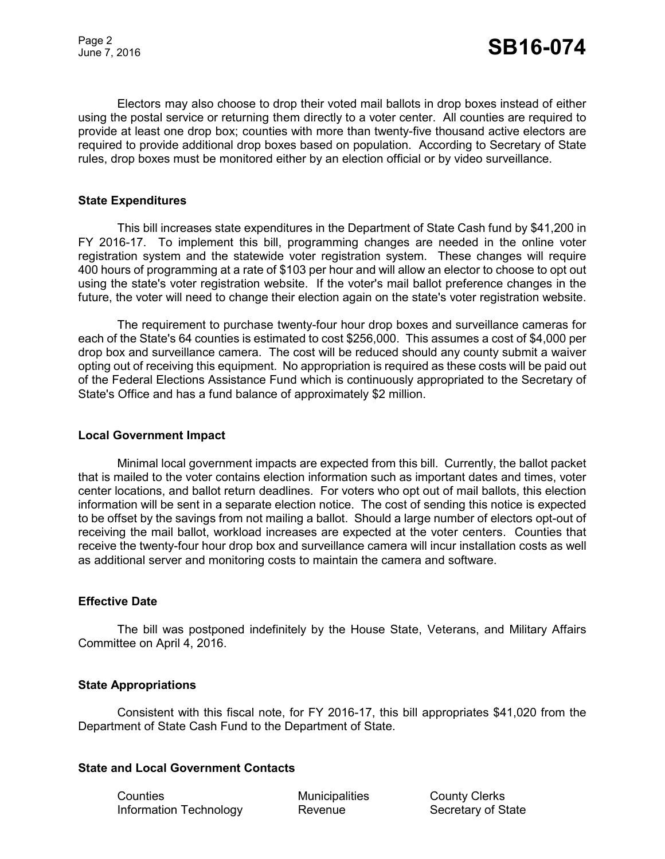Electors may also choose to drop their voted mail ballots in drop boxes instead of either using the postal service or returning them directly to a voter center. All counties are required to provide at least one drop box; counties with more than twenty-five thousand active electors are required to provide additional drop boxes based on population. According to Secretary of State rules, drop boxes must be monitored either by an election official or by video surveillance.

#### **State Expenditures**

This bill increases state expenditures in the Department of State Cash fund by \$41,200 in FY 2016-17. To implement this bill, programming changes are needed in the online voter registration system and the statewide voter registration system. These changes will require 400 hours of programming at a rate of \$103 per hour and will allow an elector to choose to opt out using the state's voter registration website. If the voter's mail ballot preference changes in the future, the voter will need to change their election again on the state's voter registration website.

The requirement to purchase twenty-four hour drop boxes and surveillance cameras for each of the State's 64 counties is estimated to cost \$256,000. This assumes a cost of \$4,000 per drop box and surveillance camera. The cost will be reduced should any county submit a waiver opting out of receiving this equipment. No appropriation is required as these costs will be paid out of the Federal Elections Assistance Fund which is continuously appropriated to the Secretary of State's Office and has a fund balance of approximately \$2 million.

#### **Local Government Impact**

Minimal local government impacts are expected from this bill. Currently, the ballot packet that is mailed to the voter contains election information such as important dates and times, voter center locations, and ballot return deadlines. For voters who opt out of mail ballots, this election information will be sent in a separate election notice. The cost of sending this notice is expected to be offset by the savings from not mailing a ballot. Should a large number of electors opt-out of receiving the mail ballot, workload increases are expected at the voter centers. Counties that receive the twenty-four hour drop box and surveillance camera will incur installation costs as well as additional server and monitoring costs to maintain the camera and software.

#### **Effective Date**

The bill was postponed indefinitely by the House State, Veterans, and Military Affairs Committee on April 4, 2016.

#### **State Appropriations**

Consistent with this fiscal note, for FY 2016-17, this bill appropriates \$41,020 from the Department of State Cash Fund to the Department of State.

#### **State and Local Government Contacts**

Counties Municipalities County Clerks Information Technology **Revenue** Secretary of State